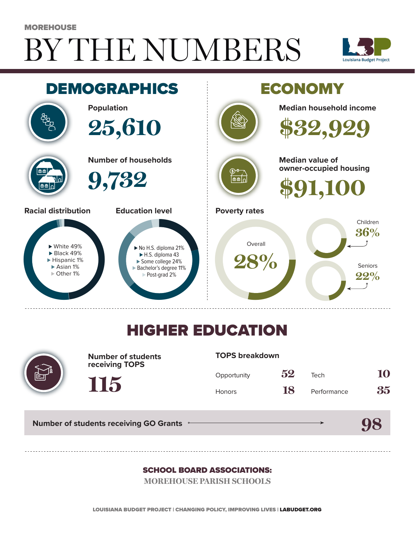# BY THE NUMBERS MOREHOUSE





## HIGHER EDUCATION



**Number of students receiving TOPS**

#### **TOPS breakdown**

| Opportunity   | 52 | Tech        | 10 |
|---------------|----|-------------|----|
| <b>Honors</b> | 18 | Performance | 35 |

**Number of students receiving GO Grants**

**115**

**98**

#### SCHOOL BOARD ASSOCIATIONS:

**MOREHOUSE PARISH SCHOOLS**